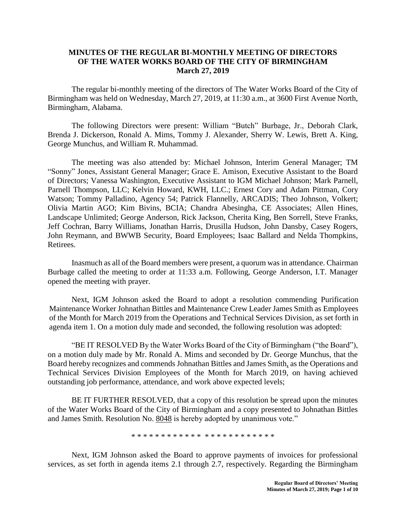## **MINUTES OF THE REGULAR BI-MONTHLY MEETING OF DIRECTORS OF THE WATER WORKS BOARD OF THE CITY OF BIRMINGHAM March 27, 2019**

The regular bi-monthly meeting of the directors of The Water Works Board of the City of Birmingham was held on Wednesday, March 27, 2019, at 11:30 a.m., at 3600 First Avenue North, Birmingham, Alabama.

The following Directors were present: William "Butch" Burbage, Jr., Deborah Clark, Brenda J. Dickerson, Ronald A. Mims, Tommy J. Alexander, Sherry W. Lewis, Brett A. King, George Munchus, and William R. Muhammad.

The meeting was also attended by: Michael Johnson, Interim General Manager; TM "Sonny" Jones, Assistant General Manager; Grace E. Amison, Executive Assistant to the Board of Directors; Vanessa Washington, Executive Assistant to IGM Michael Johnson; Mark Parnell, Parnell Thompson, LLC; Kelvin Howard, KWH, LLC.; Ernest Cory and Adam Pittman, Cory Watson; Tommy Palladino, Agency 54; Patrick Flannelly, ARCADIS; Theo Johnson, Volkert; Olivia Martin AGO; Kim Bivins, BCIA; Chandra Abesingha, CE Associates; Allen Hines, Landscape Unlimited; George Anderson, Rick Jackson, Cherita King, Ben Sorrell, Steve Franks, Jeff Cochran, Barry Williams, Jonathan Harris, Drusilla Hudson, John Dansby, Casey Rogers, John Reymann, and BWWB Security, Board Employees; Isaac Ballard and Nelda Thompkins, Retirees.

Inasmuch as all of the Board members were present, a quorum was in attendance. Chairman Burbage called the meeting to order at 11:33 a.m. Following, George Anderson, I.T. Manager opened the meeting with prayer.

Next, IGM Johnson asked the Board to adopt a resolution commending Purification Maintenance Worker Johnathan Bittles and Maintenance Crew Leader James Smith as Employees of the Month for March 2019 from the Operations and Technical Services Division, as set forth in agenda item 1. On a motion duly made and seconded, the following resolution was adopted:

"BE IT RESOLVED By the Water Works Board of the City of Birmingham ("the Board"), on a motion duly made by Mr. Ronald A. Mims and seconded by Dr. George Munchus, that the Board hereby recognizes and commends Johnathan Bittles and James Smith, as the Operations and Technical Services Division Employees of the Month for March 2019, on having achieved outstanding job performance, attendance, and work above expected levels;

BE IT FURTHER RESOLVED, that a copy of this resolution be spread upon the minutes of the Water Works Board of the City of Birmingham and a copy presented to Johnathan Bittles and James Smith. Resolution No. 8048 is hereby adopted by unanimous vote."

\* \* \* \* \* \* \* \* \* \* \* \* \* \* \* \* \* \* \* \* \* \* \* \*

Next, IGM Johnson asked the Board to approve payments of invoices for professional services, as set forth in agenda items 2.1 through 2.7, respectively. Regarding the Birmingham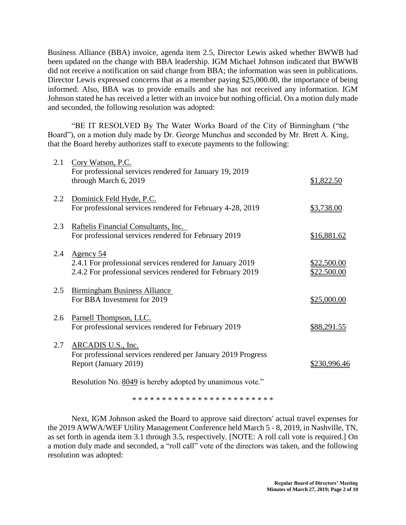Business Alliance (BBA) invoice, agenda item 2.5, Director Lewis asked whether BWWB had been updated on the change with BBA leadership. IGM Michael Johnson indicated that BWWB did not receive a notification on said change from BBA; the information was seen in publications. Director Lewis expressed concerns that as a member paying \$25,000.00, the importance of being informed. Also, BBA was to provide emails and she has not received any information. IGM Johnson stated he has received a letter with an invoice but nothing official. On a motion duly made and seconded, the following resolution was adopted:

"BE IT RESOLVED By The Water Works Board of the City of Birmingham ("the Board"), on a motion duly made by Dr. George Munchus and seconded by Mr. Brett A. King, that the Board hereby authorizes staff to execute payments to the following:

| 2.1 | Cory Watson, P.C.<br>For professional services rendered for January 19, 2019<br>through March 6, 2019                                | \$1,822.50                 |
|-----|--------------------------------------------------------------------------------------------------------------------------------------|----------------------------|
| 2.2 | Dominick Feld Hyde, P.C.<br>For professional services rendered for February 4-28, 2019                                               | \$3,738.00                 |
| 2.3 | Raftelis Financial Consultants, Inc.<br>For professional services rendered for February 2019                                         | \$16,881.62                |
| 2.4 | Agency 54<br>2.4.1 For professional services rendered for January 2019<br>2.4.2 For professional services rendered for February 2019 | \$22,500.00<br>\$22,500.00 |
| 2.5 | <b>Birmingham Business Alliance</b><br>For BBA Investment for 2019                                                                   | \$25,000.00                |
| 2.6 | Parnell Thompson, LLC.<br>For professional services rendered for February 2019                                                       | \$88,291.55                |
| 2.7 | ARCADIS U.S., Inc.<br>For professional services rendered per January 2019 Progress<br>Report (January 2019)                          | \$230,996.46               |
|     |                                                                                                                                      |                            |

Resolution No. 8049 is hereby adopted by unanimous vote."

\* \* \* \* \* \* \* \* \* \* \* \* \* \* \* \* \* \* \* \* \* \* \* \*

Next, IGM Johnson asked the Board to approve said directors' actual travel expenses for the 2019 AWWA/WEF Utility Management Conference held March 5 - 8, 2019, in Nashville, TN, as set forth in agenda item 3.1 through 3.5, respectively. [NOTE: A roll call vote is required.] On a motion duly made and seconded, a "roll call" vote of the directors was taken, and the following resolution was adopted: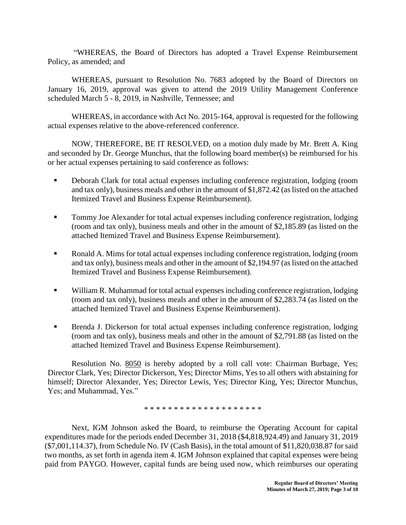"WHEREAS, the Board of Directors has adopted a Travel Expense Reimbursement Policy, as amended; and

WHEREAS, pursuant to Resolution No. 7683 adopted by the Board of Directors on January 16, 2019, approval was given to attend the 2019 Utility Management Conference scheduled March 5 - 8, 2019, in Nashville, Tennessee; and

WHEREAS, in accordance with Act No. 2015-164, approval is requested for the following actual expenses relative to the above-referenced conference.

NOW, THEREFORE, BE IT RESOLVED, on a motion duly made by Mr. Brett A. King and seconded by Dr. George Munchus, that the following board member(s) be reimbursed for his or her actual expenses pertaining to said conference as follows:

- Deborah Clark for total actual expenses including conference registration, lodging (room and tax only), business meals and other in the amount of \$1,872.42 (as listed on the attached Itemized Travel and Business Expense Reimbursement).
- Tommy Joe Alexander for total actual expenses including conference registration, lodging (room and tax only), business meals and other in the amount of \$2,185.89 (as listed on the attached Itemized Travel and Business Expense Reimbursement).
- Ronald A. Mims for total actual expenses including conference registration, lodging (room and tax only), business meals and other in the amount of \$2,194.97 (as listed on the attached Itemized Travel and Business Expense Reimbursement).
- William R. Muhammad for total actual expenses including conference registration, lodging (room and tax only), business meals and other in the amount of \$2,283.74 (as listed on the attached Itemized Travel and Business Expense Reimbursement).
- Brenda J. Dickerson for total actual expenses including conference registration, lodging (room and tax only), business meals and other in the amount of \$2,791.88 (as listed on the attached Itemized Travel and Business Expense Reimbursement).

Resolution No. 8050 is hereby adopted by a roll call vote: Chairman Burbage, Yes; Director Clark, Yes; Director Dickerson, Yes; Director Mims, Yes to all others with abstaining for himself; Director Alexander, Yes; Director Lewis, Yes; Director King, Yes; Director Munchus, Yes; and Muhammad, Yes."

\* \* \* \* \* \* \* \* \* \* \* \* \* \* \* \* \* \* \* \*

Next, IGM Johnson asked the Board, to reimburse the Operating Account for capital expenditures made for the periods ended December 31, 2018 (\$4,818,924.49) and January 31, 2019 (\$7,001,114.37), from Schedule No. IV (Cash Basis), in the total amount of \$11,820,038.87 for said two months, as set forth in agenda item 4. IGM Johnson explained that capital expenses were being paid from PAYGO. However, capital funds are being used now, which reimburses our operating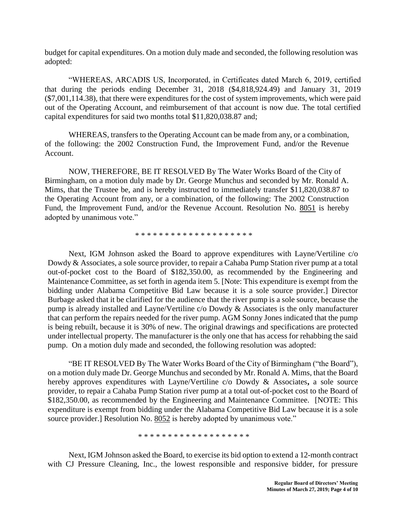budget for capital expenditures. On a motion duly made and seconded, the following resolution was adopted:

"WHEREAS, ARCADIS US, Incorporated, in Certificates dated March 6, 2019, certified that during the periods ending December 31, 2018 (\$4,818,924.49) and January 31, 2019 (\$7,001,114.38), that there were expenditures for the cost of system improvements, which were paid out of the Operating Account, and reimbursement of that account is now due. The total certified capital expenditures for said two months total \$11,820,038.87 and;

WHEREAS, transfers to the Operating Account can be made from any, or a combination, of the following: the 2002 Construction Fund, the Improvement Fund, and/or the Revenue Account.

NOW, THEREFORE, BE IT RESOLVED By The Water Works Board of the City of Birmingham, on a motion duly made by Dr. George Munchus and seconded by Mr. Ronald A. Mims, that the Trustee be, and is hereby instructed to immediately transfer \$11,820,038.87 to the Operating Account from any, or a combination, of the following: The 2002 Construction Fund, the Improvement Fund, and/or the Revenue Account. Resolution No. 8051 is hereby adopted by unanimous vote."

\* \* \* \* \* \* \* \* \* \* \* \* \* \* \* \* \* \* \* \*

Next, IGM Johnson asked the Board to approve expenditures with Layne/Vertiline c/o Dowdy & Associates, a sole source provider, to repair a Cahaba Pump Station river pump at a total out-of-pocket cost to the Board of \$182,350.00, as recommended by the Engineering and Maintenance Committee, as set forth in agenda item 5. [Note: This expenditure is exempt from the bidding under Alabama Competitive Bid Law because it is a sole source provider.] Director Burbage asked that it be clarified for the audience that the river pump is a sole source, because the pump is already installed and Layne/Vertiline c/o Dowdy & Associates is the only manufacturer that can perform the repairs needed for the river pump. AGM Sonny Jones indicated that the pump is being rebuilt, because it is 30% of new. The original drawings and specifications are protected under intellectual property. The manufacturer is the only one that has access for rehabbing the said pump. On a motion duly made and seconded, the following resolution was adopted:

"BE IT RESOLVED By The Water Works Board of the City of Birmingham ("the Board"), on a motion duly made Dr. George Munchus and seconded by Mr. Ronald A. Mims, that the Board hereby approves expenditures with Layne/Vertiline c/o Dowdy & Associates**,** a sole source provider, to repair a Cahaba Pump Station river pump at a total out-of-pocket cost to the Board of \$182,350.00, as recommended by the Engineering and Maintenance Committee. [NOTE: This expenditure is exempt from bidding under the Alabama Competitive Bid Law because it is a sole source provider.] Resolution No. 8052 is hereby adopted by unanimous vote."

\* \* \* \* \* \* \* \* \* \* \* \* \* \* \* \* \* \* \*

Next, IGM Johnson asked the Board, to exercise its bid option to extend a 12-month contract with CJ Pressure Cleaning, Inc., the lowest responsible and responsive bidder, for pressure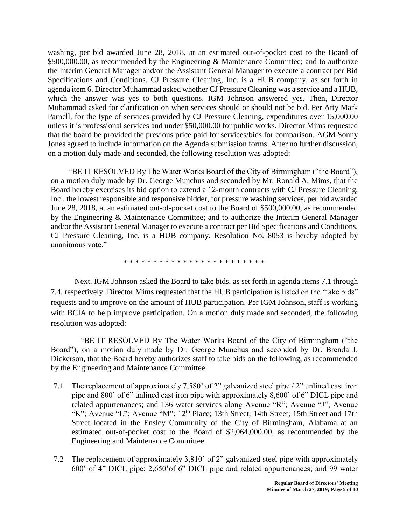washing, per bid awarded June 28, 2018, at an estimated out-of-pocket cost to the Board of \$500,000.00, as recommended by the Engineering & Maintenance Committee; and to authorize the Interim General Manager and/or the Assistant General Manager to execute a contract per Bid Specifications and Conditions. CJ Pressure Cleaning, Inc. is a HUB company, as set forth in agenda item 6. Director Muhammad asked whether CJ Pressure Cleaning was a service and a HUB, which the answer was yes to both questions. IGM Johnson answered yes. Then, Director Muhammad asked for clarification on when services should or should not be bid. Per Atty Mark Parnell, for the type of services provided by CJ Pressure Cleaning, expenditures over 15,000.00 unless it is professional services and under \$50,000.00 for public works. Director Mims requested that the board be provided the previous price paid for services/bids for comparison. AGM Sonny Jones agreed to include information on the Agenda submission forms. After no further discussion, on a motion duly made and seconded, the following resolution was adopted:

"BE IT RESOLVED By The Water Works Board of the City of Birmingham ("the Board"), on a motion duly made by Dr. George Munchus and seconded by Mr. Ronald A. Mims, that the Board hereby exercises its bid option to extend a 12-month contracts with CJ Pressure Cleaning, Inc., the lowest responsible and responsive bidder, for pressure washing services, per bid awarded June 28, 2018, at an estimated out-of-pocket cost to the Board of \$500,000.00, as recommended by the Engineering & Maintenance Committee; and to authorize the Interim General Manager and/or the Assistant General Manager to execute a contract per Bid Specifications and Conditions. CJ Pressure Cleaning, Inc. is a HUB company. Resolution No. 8053 is hereby adopted by unanimous vote."

\* \* \* \* \* \* \* \* \* \* \* \* \* \* \* \* \* \* \* \* \* \* \* \*

Next, IGM Johnson asked the Board to take bids, as set forth in agenda items 7.1 through 7.4, respectively. Director Mims requested that the HUB participation is listed on the "take bids" requests and to improve on the amount of HUB participation. Per IGM Johnson, staff is working with BCIA to help improve participation. On a motion duly made and seconded, the following resolution was adopted:

"BE IT RESOLVED By The Water Works Board of the City of Birmingham ("the Board"), on a motion duly made by Dr. George Munchus and seconded by Dr. Brenda J. Dickerson, that the Board hereby authorizes staff to take bids on the following, as recommended by the Engineering and Maintenance Committee:

- 7.1 The replacement of approximately 7,580' of 2" galvanized steel pipe / 2" unlined cast iron pipe and 800' of 6" unlined cast iron pipe with approximately 8,600' of 6" DICL pipe and related appurtenances; and 136 water services along Avenue "R"; Avenue "J"; Avenue "K"; Avenue "L"; Avenue "M";  $12<sup>th</sup>$  Place; 13th Street; 14th Street; 15th Street and 17th Street located in the Ensley Community of the City of Birmingham, Alabama at an estimated out-of-pocket cost to the Board of \$2,064,000.00, as recommended by the Engineering and Maintenance Committee.
- 7.2 The replacement of approximately 3,810' of 2" galvanized steel pipe with approximately 600' of 4" DICL pipe; 2,650'of 6" DICL pipe and related appurtenances; and 99 water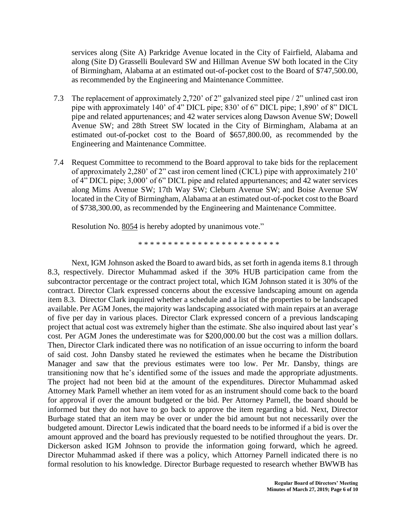services along (Site A) Parkridge Avenue located in the City of Fairfield, Alabama and along (Site D) Grasselli Boulevard SW and Hillman Avenue SW both located in the City of Birmingham, Alabama at an estimated out-of-pocket cost to the Board of \$747,500.00, as recommended by the Engineering and Maintenance Committee.

- 7.3 The replacement of approximately 2,720' of 2" galvanized steel pipe / 2" unlined cast iron pipe with approximately 140' of 4" DICL pipe; 830' of 6" DICL pipe; 1,890' of 8" DICL pipe and related appurtenances; and 42 water services along Dawson Avenue SW; Dowell Avenue SW; and 28th Street SW located in the City of Birmingham, Alabama at an estimated out-of-pocket cost to the Board of \$657,800.00, as recommended by the Engineering and Maintenance Committee.
- 7.4 Request Committee to recommend to the Board approval to take bids for the replacement of approximately 2,280' of 2" cast iron cement lined (CICL) pipe with approximately 210' of 4" DICL pipe; 3,000' of 6" DICL pipe and related appurtenances; and 42 water services along Mims Avenue SW; 17th Way SW; Cleburn Avenue SW; and Boise Avenue SW located in the City of Birmingham, Alabama at an estimated out-of-pocket cost to the Board of \$738,300.00, as recommended by the Engineering and Maintenance Committee.

Resolution No. 8054 is hereby adopted by unanimous vote."

\* \* \* \* \* \* \* \* \* \* \* \* \* \* \* \* \* \* \* \* \* \* \* \*

Next, IGM Johnson asked the Board to award bids, as set forth in agenda items 8.1 through 8.3, respectively. Director Muhammad asked if the 30% HUB participation came from the subcontractor percentage or the contract project total, which IGM Johnson stated it is 30% of the contract. Director Clark expressed concerns about the excessive landscaping amount on agenda item 8.3. Director Clark inquired whether a schedule and a list of the properties to be landscaped available. Per AGM Jones, the majority was landscaping associated with main repairs at an average of five per day in various places. Director Clark expressed concern of a previous landscaping project that actual cost was extremely higher than the estimate. She also inquired about last year's cost. Per AGM Jones the underestimate was for \$200,000.00 but the cost was a million dollars. Then, Director Clark indicated there was no notification of an issue occurring to inform the board of said cost. John Dansby stated he reviewed the estimates when he became the Distribution Manager and saw that the previous estimates were too low. Per Mr. Dansby, things are transitioning now that he's identified some of the issues and made the appropriate adjustments. The project had not been bid at the amount of the expenditures. Director Muhammad asked Attorney Mark Parnell whether an item voted for as an instrument should come back to the board for approval if over the amount budgeted or the bid. Per Attorney Parnell, the board should be informed but they do not have to go back to approve the item regarding a bid. Next, Director Burbage stated that an item may be over or under the bid amount but not necessarily over the budgeted amount. Director Lewis indicated that the board needs to be informed if a bid is over the amount approved and the board has previously requested to be notified throughout the years. Dr. Dickerson asked IGM Johnson to provide the information going forward, which he agreed. Director Muhammad asked if there was a policy, which Attorney Parnell indicated there is no formal resolution to his knowledge. Director Burbage requested to research whether BWWB has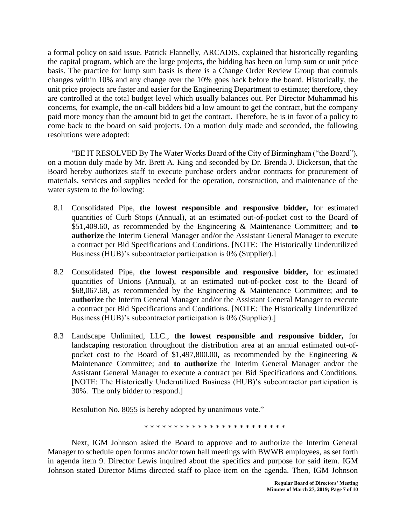a formal policy on said issue. Patrick Flannelly, ARCADIS, explained that historically regarding the capital program, which are the large projects, the bidding has been on lump sum or unit price basis. The practice for lump sum basis is there is a Change Order Review Group that controls changes within 10% and any change over the 10% goes back before the board. Historically, the unit price projects are faster and easier for the Engineering Department to estimate; therefore, they are controlled at the total budget level which usually balances out. Per Director Muhammad his concerns, for example, the on-call bidders bid a low amount to get the contract, but the company paid more money than the amount bid to get the contract. Therefore, he is in favor of a policy to come back to the board on said projects. On a motion duly made and seconded, the following resolutions were adopted:

"BE IT RESOLVED By The Water Works Board of the City of Birmingham ("the Board"), on a motion duly made by Mr. Brett A. King and seconded by Dr. Brenda J. Dickerson, that the Board hereby authorizes staff to execute purchase orders and/or contracts for procurement of materials, services and supplies needed for the operation, construction, and maintenance of the water system to the following:

- 8.1 Consolidated Pipe, **the lowest responsible and responsive bidder,** for estimated quantities of Curb Stops (Annual), at an estimated out-of-pocket cost to the Board of \$51,409.60, as recommended by the Engineering & Maintenance Committee; and **to authorize** the Interim General Manager and/or the Assistant General Manager to execute a contract per Bid Specifications and Conditions. [NOTE: The Historically Underutilized Business (HUB)'s subcontractor participation is 0% (Supplier).]
- 8.2 Consolidated Pipe, **the lowest responsible and responsive bidder,** for estimated quantities of Unions (Annual), at an estimated out-of-pocket cost to the Board of \$68,067.68, as recommended by the Engineering & Maintenance Committee; and **to authorize** the Interim General Manager and/or the Assistant General Manager to execute a contract per Bid Specifications and Conditions. [NOTE: The Historically Underutilized Business (HUB)'s subcontractor participation is 0% (Supplier).]
- 8.3 Landscape Unlimited, LLC., **the lowest responsible and responsive bidder,** for landscaping restoration throughout the distribution area at an annual estimated out-ofpocket cost to the Board of \$1,497,800.00, as recommended by the Engineering  $\&$ Maintenance Committee; and **to authorize** the Interim General Manager and/or the Assistant General Manager to execute a contract per Bid Specifications and Conditions. [NOTE: The Historically Underutilized Business (HUB)'s subcontractor participation is 30%. The only bidder to respond.]

Resolution No. 8055 is hereby adopted by unanimous vote."

\* \* \* \* \* \* \* \* \* \* \* \* \* \* \* \* \* \* \* \* \* \* \* \*

Next, IGM Johnson asked the Board to approve and to authorize the Interim General Manager to schedule open forums and/or town hall meetings with BWWB employees, as set forth in agenda item 9. Director Lewis inquired about the specifics and purpose for said item. IGM Johnson stated Director Mims directed staff to place item on the agenda. Then, IGM Johnson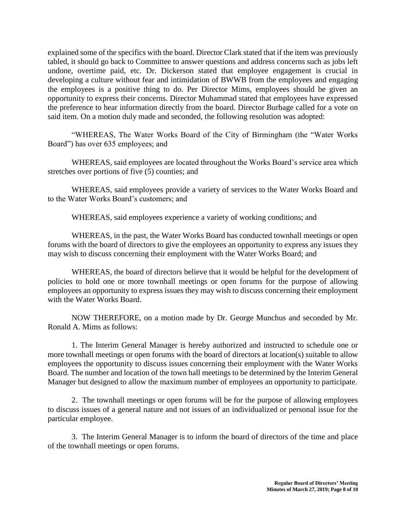explained some of the specifics with the board. Director Clark stated that if the item was previously tabled, it should go back to Committee to answer questions and address concerns such as jobs left undone, overtime paid, etc. Dr. Dickerson stated that employee engagement is crucial in developing a culture without fear and intimidation of BWWB from the employees and engaging the employees is a positive thing to do. Per Director Mims, employees should be given an opportunity to express their concerns. Director Muhammad stated that employees have expressed the preference to hear information directly from the board. Director Burbage called for a vote on said item. On a motion duly made and seconded, the following resolution was adopted:

"WHEREAS, The Water Works Board of the City of Birmingham (the "Water Works Board") has over 635 employees; and

WHEREAS, said employees are located throughout the Works Board's service area which stretches over portions of five (5) counties; and

WHEREAS, said employees provide a variety of services to the Water Works Board and to the Water Works Board's customers; and

WHEREAS, said employees experience a variety of working conditions; and

WHEREAS, in the past, the Water Works Board has conducted townhall meetings or open forums with the board of directors to give the employees an opportunity to express any issues they may wish to discuss concerning their employment with the Water Works Board; and

WHEREAS, the board of directors believe that it would be helpful for the development of policies to hold one or more townhall meetings or open forums for the purpose of allowing employees an opportunity to express issues they may wish to discuss concerning their employment with the Water Works Board.

NOW THEREFORE, on a motion made by Dr. George Munchus and seconded by Mr. Ronald A. Mims as follows:

1. The Interim General Manager is hereby authorized and instructed to schedule one or more townhall meetings or open forums with the board of directors at location(s) suitable to allow employees the opportunity to discuss issues concerning their employment with the Water Works Board. The number and location of the town hall meetings to be determined by the Interim General Manager but designed to allow the maximum number of employees an opportunity to participate.

2. The townhall meetings or open forums will be for the purpose of allowing employees to discuss issues of a general nature and not issues of an individualized or personal issue for the particular employee.

3. The Interim General Manager is to inform the board of directors of the time and place of the townhall meetings or open forums.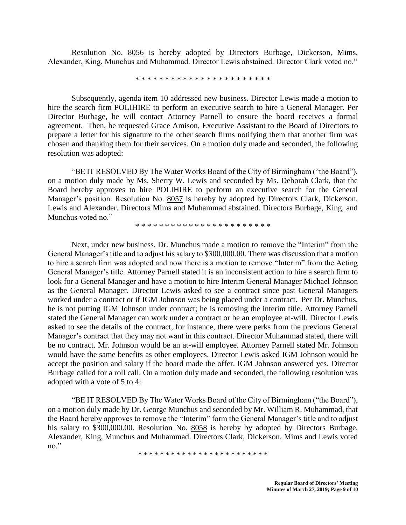Resolution No. 8056 is hereby adopted by Directors Burbage, Dickerson, Mims, Alexander, King, Munchus and Muhammad. Director Lewis abstained. Director Clark voted no."

\* \* \* \* \* \* \* \* \* \* \* \* \* \* \* \* \* \* \* \* \* \* \*

Subsequently, agenda item 10 addressed new business. Director Lewis made a motion to hire the search firm POLIHIRE to perform an executive search to hire a General Manager. Per Director Burbage, he will contact Attorney Parnell to ensure the board receives a formal agreement. Then, he requested Grace Amison, Executive Assistant to the Board of Directors to prepare a letter for his signature to the other search firms notifying them that another firm was chosen and thanking them for their services. On a motion duly made and seconded, the following resolution was adopted:

"BE IT RESOLVED By The Water Works Board of the City of Birmingham ("the Board"), on a motion duly made by Ms. Sherry W. Lewis and seconded by Ms. Deborah Clark, that the Board hereby approves to hire POLIHIRE to perform an executive search for the General Manager's position. Resolution No. 8057 is hereby by adopted by Directors Clark, Dickerson, Lewis and Alexander. Directors Mims and Muhammad abstained. Directors Burbage, King, and Munchus voted no."

\* \* \* \* \* \* \* \* \* \* \* \* \* \* \* \* \* \* \* \* \* \* \*

Next, under new business, Dr. Munchus made a motion to remove the "Interim" from the General Manager's title and to adjust his salary to \$300,000.00. There was discussion that a motion to hire a search firm was adopted and now there is a motion to remove "Interim" from the Acting General Manager's title. Attorney Parnell stated it is an inconsistent action to hire a search firm to look for a General Manager and have a motion to hire Interim General Manager Michael Johnson as the General Manager. Director Lewis asked to see a contract since past General Managers worked under a contract or if IGM Johnson was being placed under a contract. Per Dr. Munchus, he is not putting IGM Johnson under contract; he is removing the interim title. Attorney Parnell stated the General Manager can work under a contract or be an employee at-will. Director Lewis asked to see the details of the contract, for instance, there were perks from the previous General Manager's contract that they may not want in this contract. Director Muhammad stated, there will be no contract. Mr. Johnson would be an at-will employee. Attorney Parnell stated Mr. Johnson would have the same benefits as other employees. Director Lewis asked IGM Johnson would he accept the position and salary if the board made the offer. IGM Johnson answered yes. Director Burbage called for a roll call. On a motion duly made and seconded, the following resolution was adopted with a vote of 5 to 4:

"BE IT RESOLVED By The Water Works Board of the City of Birmingham ("the Board"), on a motion duly made by Dr. George Munchus and seconded by Mr. William R. Muhammad, that the Board hereby approves to remove the "Interim" form the General Manager's title and to adjust his salary to \$300,000.00. Resolution No. 8058 is hereby by adopted by Directors Burbage, Alexander, King, Munchus and Muhammad. Directors Clark, Dickerson, Mims and Lewis voted no."

\* \* \* \* \* \* \* \* \* \* \* \* \* \* \* \* \* \* \* \* \* \* \* \*